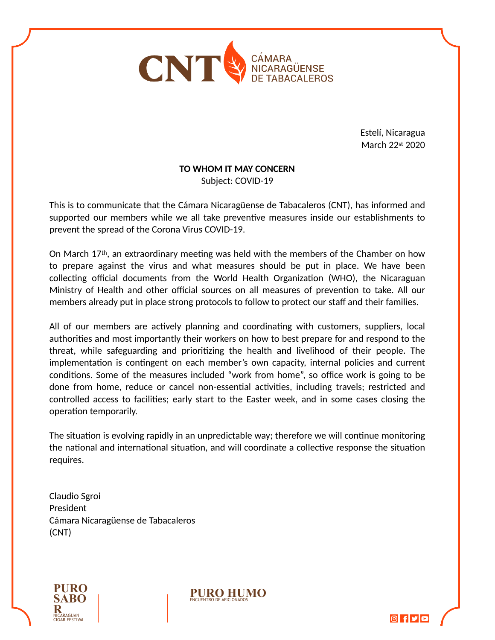

Estelí, Nicaragua March 22st 2020

## **TO WHOM IT MAY CONCERN**

Subject: COVID-19

This is to communicate that the Cámara Nicaragüense de Tabacaleros (CNT), has informed and supported our members while we all take preventive measures inside our establishments to prevent the spread of the Corona Virus COVID-19.

On March 17<sup>th</sup>, an extraordinary meeting was held with the members of the Chamber on how to prepare against the virus and what measures should be put in place. We have been collecting official documents from the World Health Organization (WHO), the Nicaraguan Ministry of Health and other official sources on all measures of prevention to take. All our members already put in place strong protocols to follow to protect our staff and their families.

All of our members are actively planning and coordinating with customers, suppliers, local authorities and most importantly their workers on how to best prepare for and respond to the threat, while safeguarding and prioritizing the health and livelihood of their people. The implementation is contingent on each member's own capacity, internal policies and current conditions. Some of the measures included "work from home", so office work is going to be done from home, reduce or cancel non-essential activities, including travels; restricted and controlled access to facilities; early start to the Easter week, and in some cases closing the operation temporarily.

The situation is evolving rapidly in an unpredictable way; therefore we will continue monitoring the national and international situation, and will coordinate a collective response the situation requires.

Claudio Sgroi President Cámara Nicaragüense de Tabacaleros (CNT)



**PURO HUMO**